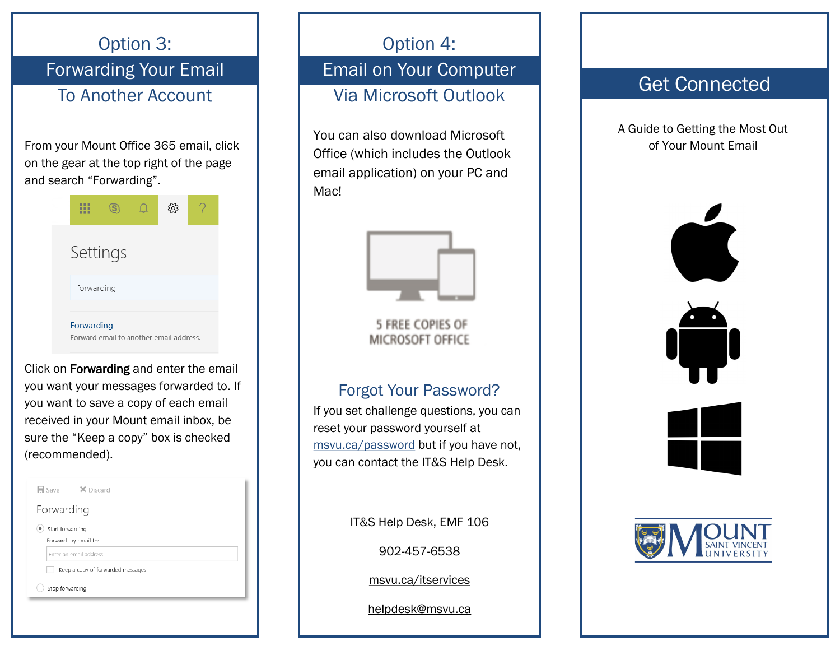Option 3: Forwarding Your Email To Another AccountFrom your Mount Office 365 email, click on the gear at the top right of the page and search "Forwarding". 田  $\circledS$ స్ట్రి  $\Box$ Settings forwarding Forwarding Forward email to another email address. Click on Forwarding and enter the email you want your messages forwarded to. If you want to save a copy of each email received in your Mount email inbox, be sure the "Keep a copy" box is checked (recommended).  $\blacksquare$  Save X Discard Forwarding Start forwarding Forward my email to: Enter an email address Keep a copy of forwarded messages Stop forwarding

Option 4:

Email on Your Computer Via Microsoft Outlook

You can also download Microsoft Office (which includes the Outlook email application) on your PC and Mac!



**5 FREE COPIES OF** MICROSOFT OFFICE

## Forgot Your Password?

If you set challenge questions, you can reset your password yourself at msvu.ca/password but if you have not, you can contact the IT&S Help Desk.

IT&S Help Desk, EMF 106

902-457-6538

msvu.ca/itservices

helpdesk@msvu.ca

# Get Connected

A Guide to Getting the Most Out of Your Mount Email